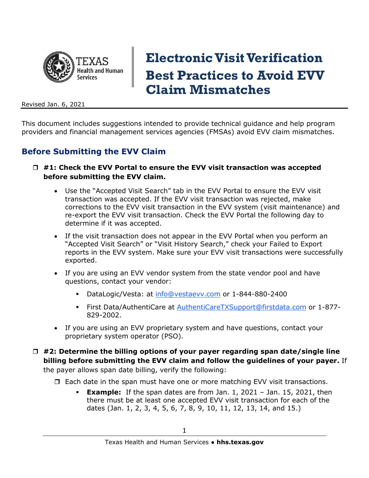

# **Electronic Visit Verification Best Practices to Avoid EVV Claim Mismatches**

Revised Jan. 6, 2021

This document includes suggestions intended to provide technical guidance and help program providers and financial management services agencies (FMSAs) avoid EVV claim mismatches.

### **Before Submitting the EVV Claim**

- **#1: Check the EVV Portal to ensure the EVV visit transaction was accepted before submitting the EVV claim.**
	- Use the "Accepted Visit Search" tab in the EVV Portal to ensure the EVV visit transaction was accepted. If the EVV visit transaction was rejected, make corrections to the EVV visit transaction in the EVV system (visit maintenance) and re-export the EVV visit transaction. Check the EVV Portal the following day to determine if it was accepted.
	- If the visit transaction does not appear in the EVV Portal when you perform an "Accepted Visit Search" or "Visit History Search," check your Failed to Export reports in the EVV system. Make sure your EVV visit transactions were successfully exported.
	- If you are using an EVV vendor system from the state vendor pool and have questions, contact your vendor:
		- DataLogic/Vesta: at [info@vestaevv.com](mailto:info@vestaevv.com) or 1-844-880-2400
		- First Data/AuthentiCare at [AuthentiCareTXSupport@firstdata.com](mailto:AuthentiCareTXSupport@firstdata.com) or 1-877- 829-2002.
	- If you are using an EVV proprietary system and have questions, contact your proprietary system operator (PSO).
- **#2: Determine the billing options of your payer regarding span date/single line billing before submitting the EVV claim and follow the guidelines of your payer.** If

the payer allows span date billing, verify the following:

- $\Box$  Each date in the span must have one or more matching EVV visit transactions.
	- **Example:** If the span dates are from Jan. 1, 2021 Jan. 15, 2021, then there must be at least one accepted EVV visit transaction for each of the dates (Jan. 1, 2, 3, 4, 5, 6, 7, 8, 9, 10, 11, 12, 13, 14, and 15.)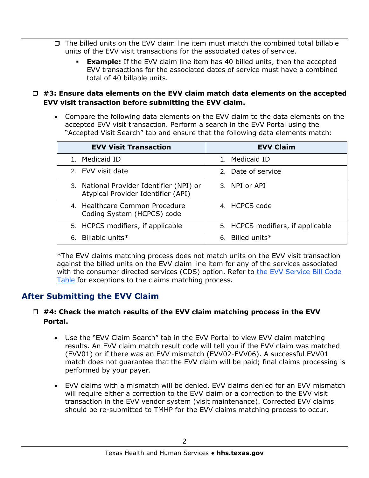- $\Box$  The billed units on the EVV claim line item must match the combined total billable units of the EVV visit transactions for the associated dates of service.
	- **Example:** If the EVV claim line item has 40 billed units, then the accepted EVV transactions for the associated dates of service must have a combined total of 40 billable units.
- **#3: Ensure data elements on the EVV claim match data elements on the accepted EVV visit transaction before submitting the EVV claim.**
	- Compare the following data elements on the EVV claim to the data elements on the accepted EVV visit transaction. Perform a search in the EVV Portal using the "Accepted Visit Search" tab and ensure that the following data elements match:

| <b>EVV Visit Transaction</b>                                                   | <b>EVV Claim</b>                  |
|--------------------------------------------------------------------------------|-----------------------------------|
| 1. Medicaid ID                                                                 | Medicaid ID<br>1                  |
| 2. EVV visit date                                                              | 2. Date of service                |
| 3. National Provider Identifier (NPI) or<br>Atypical Provider Identifier (API) | 3. NPI or API                     |
| 4. Healthcare Common Procedure<br>Coding System (HCPCS) code                   | 4. HCPCS code                     |
| 5. HCPCS modifiers, if applicable                                              | 5. HCPCS modifiers, if applicable |
| 6. Billable units*                                                             | 6. Billed units*                  |

\*The EVV claims matching process does not match units on the EVV visit transaction against the billed units on the EVV claim line item for any of the services associated with the consumer directed services (CDS) option. Refer to [the EVV Service Bill Code](https://hhs.texas.gov/doing-business-hhs/provider-portals/long-term-care-providers/resources/electronic-visit-verification#service-bill-codes-table)  [Table](https://hhs.texas.gov/doing-business-hhs/provider-portals/long-term-care-providers/resources/electronic-visit-verification#service-bill-codes-table) for exceptions to the claims matching process.

## **After Submitting the EVV Claim**

#### **#4: Check the match results of the EVV claim matching process in the EVV Portal.**

- Use the "EVV Claim Search" tab in the EVV Portal to view EVV claim matching results. An EVV claim match result code will tell you if the EVV claim was matched (EVV01) or if there was an EVV mismatch (EVV02-EVV06). A successful EVV01 match does not guarantee that the EVV claim will be paid; final claims processing is performed by your payer.
- EVV claims with a mismatch will be denied. EVV claims denied for an EVV mismatch will require either a correction to the EVV claim or a correction to the EVV visit transaction in the EVV vendor system (visit maintenance). Corrected EVV claims should be re-submitted to TMHP for the EVV claims matching process to occur.